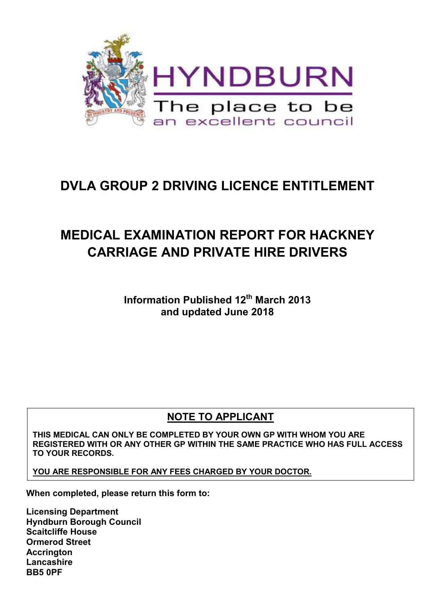

# **DVLA GROUP 2 DRIVING LICENCE ENTITLEMENT**

# **MEDICAL EXAMINATION REPORT FOR HACKNEY CARRIAGE AND PRIVATE HIRE DRIVERS**

**Information Published 12th March 2013 and updated June 2018** 

### **NOTE TO APPLICANT**

**THIS MEDICAL CAN ONLY BE COMPLETED BY YOUR OWN GP WITH WHOM YOU ARE REGISTERED WITH OR ANY OTHER GP WITHIN THE SAME PRACTICE WHO HAS FULL ACCESS TO YOUR RECORDS.** 

**YOU ARE RESPONSIBLE FOR ANY FEES CHARGED BY YOUR DOCTOR.** 

**When completed, please return this form to:** 

**Licensing Department Hyndburn Borough Council Scaitcliffe House Ormerod Street Accrington Lancashire BB5 0PF**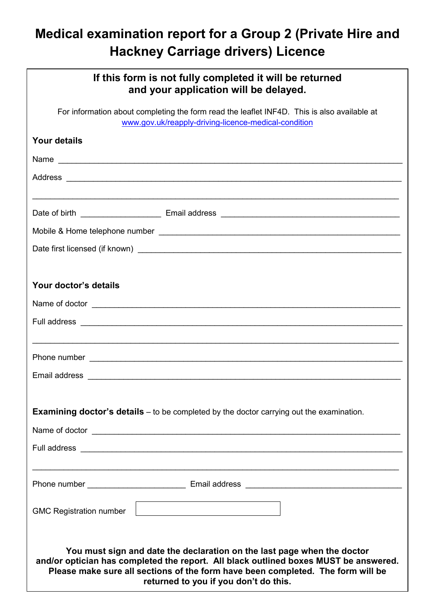# **Medical examination report for a Group 2 (Private Hire and Hackney Carriage drivers) Licence**

| If this form is not fully completed it will be returned<br>and your application will be delayed.                                                                                                                                                                                            |  |  |  |  |  |  |
|---------------------------------------------------------------------------------------------------------------------------------------------------------------------------------------------------------------------------------------------------------------------------------------------|--|--|--|--|--|--|
| For information about completing the form read the leaflet INF4D. This is also available at<br>www.gov.uk/reapply-driving-licence-medical-condition                                                                                                                                         |  |  |  |  |  |  |
| <b>Your details</b>                                                                                                                                                                                                                                                                         |  |  |  |  |  |  |
|                                                                                                                                                                                                                                                                                             |  |  |  |  |  |  |
|                                                                                                                                                                                                                                                                                             |  |  |  |  |  |  |
|                                                                                                                                                                                                                                                                                             |  |  |  |  |  |  |
|                                                                                                                                                                                                                                                                                             |  |  |  |  |  |  |
|                                                                                                                                                                                                                                                                                             |  |  |  |  |  |  |
|                                                                                                                                                                                                                                                                                             |  |  |  |  |  |  |
|                                                                                                                                                                                                                                                                                             |  |  |  |  |  |  |
| Your doctor's details                                                                                                                                                                                                                                                                       |  |  |  |  |  |  |
| Name of doctor example and the state of doctor and the state of doctor and the state of doctor and the state of the state of the state of the state of the state of the state of the state of the state of the state of the st                                                              |  |  |  |  |  |  |
|                                                                                                                                                                                                                                                                                             |  |  |  |  |  |  |
| ,我们也不能在这里的时候,我们也不能在这里的时候,我们也不能在这里的时候,我们也不能会在这里的时候,我们也不能会在这里的时候,我们也不能会在这里的时候,我们也不能                                                                                                                                                                                                           |  |  |  |  |  |  |
| Phone number experience and the contract of the contract of the contract of the contract of the contract of the contract of the contract of the contract of the contract of the contract of the contract of the contract of th                                                              |  |  |  |  |  |  |
|                                                                                                                                                                                                                                                                                             |  |  |  |  |  |  |
|                                                                                                                                                                                                                                                                                             |  |  |  |  |  |  |
| <b>Examining doctor's details</b> – to be completed by the doctor carrying out the examination.                                                                                                                                                                                             |  |  |  |  |  |  |
|                                                                                                                                                                                                                                                                                             |  |  |  |  |  |  |
|                                                                                                                                                                                                                                                                                             |  |  |  |  |  |  |
|                                                                                                                                                                                                                                                                                             |  |  |  |  |  |  |
|                                                                                                                                                                                                                                                                                             |  |  |  |  |  |  |
| <u> La componente de la componenta de la componenta de la componenta de la componenta de la componenta de la compo</u><br><b>GMC Registration number</b>                                                                                                                                    |  |  |  |  |  |  |
|                                                                                                                                                                                                                                                                                             |  |  |  |  |  |  |
| You must sign and date the declaration on the last page when the doctor<br>and/or optician has completed the report. All black outlined boxes MUST be answered.<br>Please make sure all sections of the form have been completed. The form will be<br>returned to you if you don't do this. |  |  |  |  |  |  |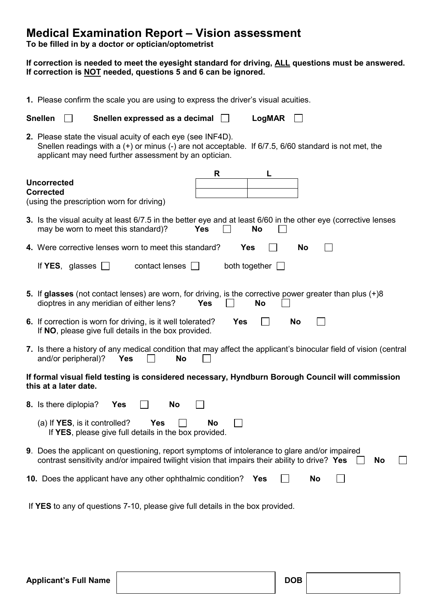### **Medical Examination Report – Vision assessment**

**To be filled in by a doctor or optician/optometrist**

#### **If correction is needed to meet the eyesight standard for driving, ALL questions must be answered. If correction is NOT needed, questions 5 and 6 can be ignored.**

| 1. Please confirm the scale you are using to express the driver's visual acuities.                                                                                                                                              |                                           |  |            |     |                                                                                                                     |                                                                    |            |                                                                                                                                                                                                |           |    |  |    |  |
|---------------------------------------------------------------------------------------------------------------------------------------------------------------------------------------------------------------------------------|-------------------------------------------|--|------------|-----|---------------------------------------------------------------------------------------------------------------------|--------------------------------------------------------------------|------------|------------------------------------------------------------------------------------------------------------------------------------------------------------------------------------------------|-----------|----|--|----|--|
| <b>Snellen</b>                                                                                                                                                                                                                  |                                           |  |            |     | Snellen expressed as a decimal                                                                                      |                                                                    |            | LogMAR                                                                                                                                                                                         |           |    |  |    |  |
| 2. Please state the visual acuity of each eye (see INF4D).<br>Snellen readings with a $(+)$ or minus $(-)$ are not acceptable. If 6/7.5, 6/60 standard is not met, the<br>applicant may need further assessment by an optician. |                                           |  |            |     |                                                                                                                     |                                                                    |            |                                                                                                                                                                                                |           |    |  |    |  |
| <b>Uncorrected</b><br><b>Corrected</b>                                                                                                                                                                                          | (using the prescription worn for driving) |  |            |     |                                                                                                                     | R                                                                  |            | L                                                                                                                                                                                              |           |    |  |    |  |
|                                                                                                                                                                                                                                 | may be worn to meet this standard)?       |  |            |     |                                                                                                                     | <b>Yes</b>                                                         |            | 3. Is the visual acuity at least 6/7.5 in the better eye and at least 6/60 in the other eye (corrective lenses<br><b>No</b>                                                                    |           |    |  |    |  |
|                                                                                                                                                                                                                                 |                                           |  |            |     |                                                                                                                     | 4. Were corrective lenses worn to meet this standard?              |            | <b>Yes</b>                                                                                                                                                                                     | <b>No</b> |    |  |    |  |
|                                                                                                                                                                                                                                 | If YES, glasses $\Box$                    |  |            |     | contact lenses $\Box$                                                                                               |                                                                    |            | both together $\Box$                                                                                                                                                                           |           |    |  |    |  |
|                                                                                                                                                                                                                                 | dioptres in any meridian of either lens?  |  |            |     |                                                                                                                     | <b>Yes</b>                                                         |            | 5. If glasses (not contact lenses) are worn, for driving, is the corrective power greater than plus (+)8<br><b>No</b>                                                                          |           |    |  |    |  |
|                                                                                                                                                                                                                                 |                                           |  |            |     | 6. If correction is worn for driving, is it well tolerated?<br>If NO, please give full details in the box provided. |                                                                    | <b>Yes</b> |                                                                                                                                                                                                | No        |    |  |    |  |
|                                                                                                                                                                                                                                 | and/or peripheral)?                       |  | Yes        |     | No                                                                                                                  |                                                                    |            | 7. Is there a history of any medical condition that may affect the applicant's binocular field of vision (central                                                                              |           |    |  |    |  |
|                                                                                                                                                                                                                                 | this at a later date.                     |  |            |     |                                                                                                                     |                                                                    |            | If formal visual field testing is considered necessary, Hyndburn Borough Council will commission                                                                                               |           |    |  |    |  |
|                                                                                                                                                                                                                                 | 8. Is there diplopia?                     |  | <b>Yes</b> |     | No                                                                                                                  |                                                                    |            |                                                                                                                                                                                                |           |    |  |    |  |
|                                                                                                                                                                                                                                 | (a) If YES, is it controlled?             |  |            | Yes |                                                                                                                     | <b>No</b><br>If YES, please give full details in the box provided. |            |                                                                                                                                                                                                |           |    |  |    |  |
|                                                                                                                                                                                                                                 |                                           |  |            |     |                                                                                                                     |                                                                    |            | 9. Does the applicant on questioning, report symptoms of intolerance to glare and/or impaired<br>contrast sensitivity and/or impaired twilight vision that impairs their ability to drive? Yes |           |    |  | No |  |
|                                                                                                                                                                                                                                 |                                           |  |            |     |                                                                                                                     | 10. Does the applicant have any other ophthalmic condition?        |            | Yes                                                                                                                                                                                            |           | No |  |    |  |
|                                                                                                                                                                                                                                 |                                           |  |            |     |                                                                                                                     |                                                                    |            | If YES to any of questions 7-10, please give full details in the box provided.                                                                                                                 |           |    |  |    |  |
|                                                                                                                                                                                                                                 |                                           |  |            |     |                                                                                                                     |                                                                    |            |                                                                                                                                                                                                |           |    |  |    |  |
|                                                                                                                                                                                                                                 |                                           |  |            |     |                                                                                                                     |                                                                    |            |                                                                                                                                                                                                |           |    |  |    |  |
|                                                                                                                                                                                                                                 |                                           |  |            |     |                                                                                                                     |                                                                    |            |                                                                                                                                                                                                |           |    |  |    |  |

Applicant's Full Name **DOB DOB**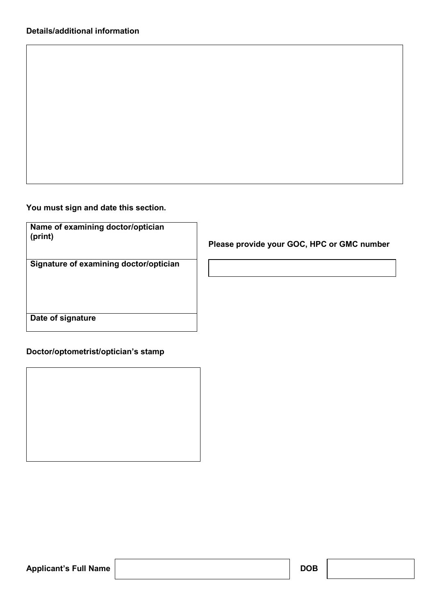**You must sign and date this section.** 

| Name of examining doctor/optician |  |
|-----------------------------------|--|
| (print)                           |  |

**Signature of examining doctor/optician**

 **Please provide your GOC, HPC or GMC number** 

**Date of signature**

### **Doctor/optometrist/optician's stamp**

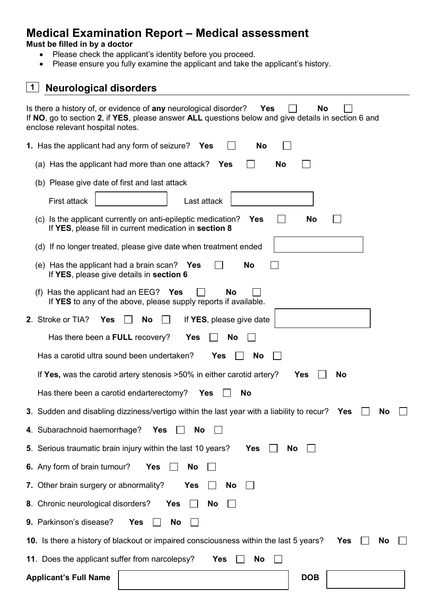## **Medical Examination Report – Medical assessment**

### **Must be filled in by a doctor**

- Please check the applicant's identity before you proceed.
- Please ensure you fully examine the applicant and take the applicant's history.

| <b>Neurological disorders</b><br>1                                                                                                                                                                                       |  |  |  |  |  |  |  |
|--------------------------------------------------------------------------------------------------------------------------------------------------------------------------------------------------------------------------|--|--|--|--|--|--|--|
| Is there a history of, or evidence of any neurological disorder?<br>No<br>Yes<br>If NO, go to section 2, if YES, please answer ALL questions below and give details in section 6 and<br>enclose relevant hospital notes. |  |  |  |  |  |  |  |
| <b>1.</b> Has the applicant had any form of seizure? Yes<br>No                                                                                                                                                           |  |  |  |  |  |  |  |
| (a) Has the applicant had more than one attack?<br>Yes<br>No                                                                                                                                                             |  |  |  |  |  |  |  |
| (b) Please give date of first and last attack                                                                                                                                                                            |  |  |  |  |  |  |  |
| First attack<br>Last attack                                                                                                                                                                                              |  |  |  |  |  |  |  |
| (c) Is the applicant currently on anti-epileptic medication?<br>No<br>Yes<br>If YES, please fill in current medication in section 8                                                                                      |  |  |  |  |  |  |  |
| (d) If no longer treated, please give date when treatment ended                                                                                                                                                          |  |  |  |  |  |  |  |
| (e) Has the applicant had a brain scan? Yes<br>No<br>If YES, please give details in section 6                                                                                                                            |  |  |  |  |  |  |  |
| (f) Has the applicant had an $EEG$ ? Yes<br><b>No</b><br>If YES to any of the above, please supply reports if available.                                                                                                 |  |  |  |  |  |  |  |
| 2. Stroke or TIA?<br>If YES, please give date<br><b>Yes</b><br>No                                                                                                                                                        |  |  |  |  |  |  |  |
| Has there been a FULL recovery?<br><b>Yes</b><br>No                                                                                                                                                                      |  |  |  |  |  |  |  |
| Has a carotid ultra sound been undertaken?<br>Yes<br><b>No</b>                                                                                                                                                           |  |  |  |  |  |  |  |
| If Yes, was the carotid artery stenosis >50% in either carotid artery?<br>Yes<br><b>No</b>                                                                                                                               |  |  |  |  |  |  |  |
| Has there been a carotid endarterectomy?<br><b>No</b><br>Yes                                                                                                                                                             |  |  |  |  |  |  |  |
| 3. Sudden and disabling dizziness/vertigo within the last year with a liability to recur? Yes $\Box$                                                                                                                     |  |  |  |  |  |  |  |
| 4. Subarachnoid haemorrhage?<br>Yes<br>No                                                                                                                                                                                |  |  |  |  |  |  |  |
| 5. Serious traumatic brain injury within the last 10 years?<br><b>Yes</b><br>No                                                                                                                                          |  |  |  |  |  |  |  |
| 6. Any form of brain tumour?<br><b>Yes</b><br>No                                                                                                                                                                         |  |  |  |  |  |  |  |
| 7. Other brain surgery or abnormality?<br><b>Yes</b><br>No                                                                                                                                                               |  |  |  |  |  |  |  |
| 8. Chronic neurological disorders?<br><b>Yes</b><br>No                                                                                                                                                                   |  |  |  |  |  |  |  |
| 9. Parkinson's disease?<br><b>Yes</b><br>No                                                                                                                                                                              |  |  |  |  |  |  |  |
| 10. Is there a history of blackout or impaired consciousness within the last 5 years?<br><b>Yes</b><br><b>No</b>                                                                                                         |  |  |  |  |  |  |  |
| 11. Does the applicant suffer from narcolepsy?<br><b>Yes</b><br>No                                                                                                                                                       |  |  |  |  |  |  |  |
| <b>Applicant's Full Name</b><br><b>DOB</b>                                                                                                                                                                               |  |  |  |  |  |  |  |
|                                                                                                                                                                                                                          |  |  |  |  |  |  |  |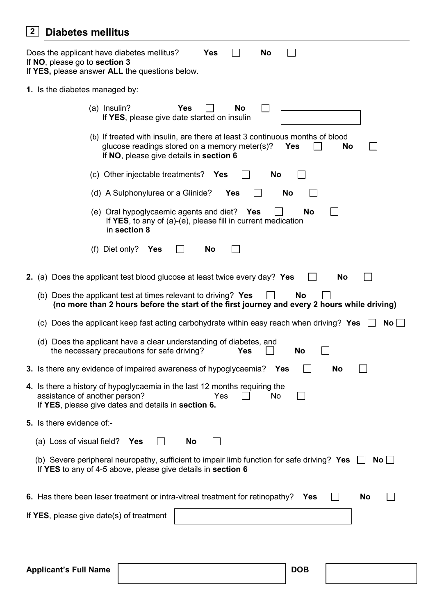### **Diabetes mellitus 2**

| Does the applicant have diabetes mellitus?<br><b>No</b><br>Yes<br>If NO, please go to section 3<br>If YES, please answer ALL the questions below.                                            |  |  |  |  |  |  |
|----------------------------------------------------------------------------------------------------------------------------------------------------------------------------------------------|--|--|--|--|--|--|
| 1. Is the diabetes managed by:                                                                                                                                                               |  |  |  |  |  |  |
| (a) Insulin?<br><b>Yes</b><br>No<br>If YES, please give date started on insulin                                                                                                              |  |  |  |  |  |  |
| (b) If treated with insulin, are there at least 3 continuous months of blood<br>glucose readings stored on a memory meter(s)?<br><b>Yes</b><br>No<br>If NO, please give details in section 6 |  |  |  |  |  |  |
| (c) Other injectable treatments?<br>Yes<br>No                                                                                                                                                |  |  |  |  |  |  |
| (d) A Sulphonylurea or a Glinide?<br><b>Yes</b><br>No                                                                                                                                        |  |  |  |  |  |  |
| (e) Oral hypoglycaemic agents and diet? Yes<br><b>No</b><br>If YES, to any of (a)-(e), please fill in current medication<br>in section 8                                                     |  |  |  |  |  |  |
| (f) Diet only?<br>No<br>Yes                                                                                                                                                                  |  |  |  |  |  |  |
| 2. (a) Does the applicant test blood glucose at least twice every day? Yes<br>No                                                                                                             |  |  |  |  |  |  |
| (b) Does the applicant test at times relevant to driving? Yes<br>No<br>(no more than 2 hours before the start of the first journey and every 2 hours while driving)                          |  |  |  |  |  |  |
| (c) Does the applicant keep fast acting carbohydrate within easy reach when driving? Yes<br>$No$                                                                                             |  |  |  |  |  |  |
| (d) Does the applicant have a clear understanding of diabetes, and<br>the necessary precautions for safe driving?<br>Yes<br>No                                                               |  |  |  |  |  |  |
| 3. Is there any evidence of impaired awareness of hypoglycaemia?<br>No<br>Yes                                                                                                                |  |  |  |  |  |  |
| 4. Is there a history of hypoglycaemia in the last 12 months requiring the<br>assistance of another person?<br>Yes<br>No<br>If YES, please give dates and details in section 6.              |  |  |  |  |  |  |
| 5. Is there evidence of:-                                                                                                                                                                    |  |  |  |  |  |  |
| (a) Loss of visual field?<br>No<br><b>Yes</b>                                                                                                                                                |  |  |  |  |  |  |
| (b) Severe peripheral neuropathy, sufficient to impair limb function for safe driving? Yes<br>No I<br>If YES to any of 4-5 above, please give details in section 6                           |  |  |  |  |  |  |
| 6. Has there been laser treatment or intra-vitreal treatment for retinopathy?<br><b>No</b><br>Yes                                                                                            |  |  |  |  |  |  |
| If YES, please give date(s) of treatment                                                                                                                                                     |  |  |  |  |  |  |
|                                                                                                                                                                                              |  |  |  |  |  |  |
|                                                                                                                                                                                              |  |  |  |  |  |  |
| <b>Applicant's Full Name</b><br><b>DOB</b>                                                                                                                                                   |  |  |  |  |  |  |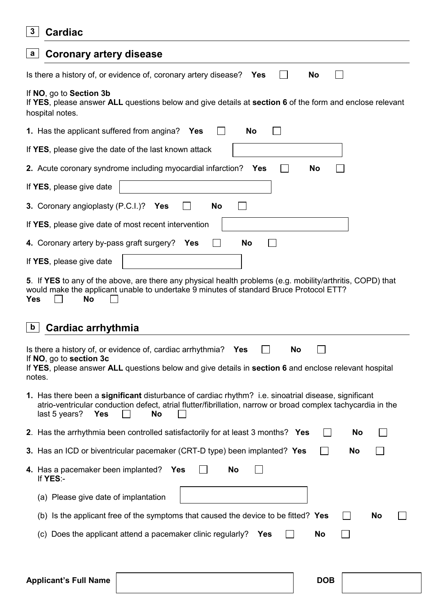| $\mathbf{3}$                                                                                                                                           | <b>Cardiac</b>                                                                                                                                                                                                                                                                                                                                                                                                                                                          |  |  |  |  |  |  |  |  |
|--------------------------------------------------------------------------------------------------------------------------------------------------------|-------------------------------------------------------------------------------------------------------------------------------------------------------------------------------------------------------------------------------------------------------------------------------------------------------------------------------------------------------------------------------------------------------------------------------------------------------------------------|--|--|--|--|--|--|--|--|
| a                                                                                                                                                      | <b>Coronary artery disease</b>                                                                                                                                                                                                                                                                                                                                                                                                                                          |  |  |  |  |  |  |  |  |
|                                                                                                                                                        | Is there a history of, or evidence of, coronary artery disease?<br>Yes<br>No                                                                                                                                                                                                                                                                                                                                                                                            |  |  |  |  |  |  |  |  |
| If NO, go to Section 3b<br>If YES, please answer ALL questions below and give details at section 6 of the form and enclose relevant<br>hospital notes. |                                                                                                                                                                                                                                                                                                                                                                                                                                                                         |  |  |  |  |  |  |  |  |
|                                                                                                                                                        | <b>1.</b> Has the applicant suffered from angina? Yes<br>No                                                                                                                                                                                                                                                                                                                                                                                                             |  |  |  |  |  |  |  |  |
|                                                                                                                                                        | If YES, please give the date of the last known attack                                                                                                                                                                                                                                                                                                                                                                                                                   |  |  |  |  |  |  |  |  |
|                                                                                                                                                        | 2. Acute coronary syndrome including myocardial infarction?<br>No<br><b>Yes</b>                                                                                                                                                                                                                                                                                                                                                                                         |  |  |  |  |  |  |  |  |
|                                                                                                                                                        | If YES, please give date                                                                                                                                                                                                                                                                                                                                                                                                                                                |  |  |  |  |  |  |  |  |
|                                                                                                                                                        | 3. Coronary angioplasty (P.C.I.)?<br>Yes<br>No                                                                                                                                                                                                                                                                                                                                                                                                                          |  |  |  |  |  |  |  |  |
|                                                                                                                                                        | If YES, please give date of most recent intervention                                                                                                                                                                                                                                                                                                                                                                                                                    |  |  |  |  |  |  |  |  |
|                                                                                                                                                        | 4. Coronary artery by-pass graft surgery?<br>No<br>Yes                                                                                                                                                                                                                                                                                                                                                                                                                  |  |  |  |  |  |  |  |  |
|                                                                                                                                                        | If YES, please give date                                                                                                                                                                                                                                                                                                                                                                                                                                                |  |  |  |  |  |  |  |  |
| <b>Yes</b><br>$\mathbf b$                                                                                                                              | 5. If YES to any of the above, are there any physical health problems (e.g. mobility/arthritis, COPD) that<br>would make the applicant unable to undertake 9 minutes of standard Bruce Protocol ETT?<br>No<br><b>Cardiac arrhythmia</b><br>Is there a history of, or evidence of, cardiac arrhythmia?<br>No<br><b>Yes</b><br>If NO, go to section 3c<br>If YES, please answer ALL questions below and give details in section 6 and enclose relevant hospital<br>notes. |  |  |  |  |  |  |  |  |
|                                                                                                                                                        | 1. Has there been a significant disturbance of cardiac rhythm? i.e. sinoatrial disease, significant                                                                                                                                                                                                                                                                                                                                                                     |  |  |  |  |  |  |  |  |
|                                                                                                                                                        | atrio-ventricular conduction defect, atrial flutter/fibrillation, narrow or broad complex tachycardia in the<br>last 5 years?<br>No<br><b>Yes</b>                                                                                                                                                                                                                                                                                                                       |  |  |  |  |  |  |  |  |
|                                                                                                                                                        | 2. Has the arrhythmia been controlled satisfactorily for at least 3 months? Yes<br>No                                                                                                                                                                                                                                                                                                                                                                                   |  |  |  |  |  |  |  |  |
|                                                                                                                                                        | 3. Has an ICD or biventricular pacemaker (CRT-D type) been implanted? Yes<br>No                                                                                                                                                                                                                                                                                                                                                                                         |  |  |  |  |  |  |  |  |
|                                                                                                                                                        | 4. Has a pacemaker been implanted? Yes<br>No<br>If YES:-                                                                                                                                                                                                                                                                                                                                                                                                                |  |  |  |  |  |  |  |  |
|                                                                                                                                                        | (a) Please give date of implantation                                                                                                                                                                                                                                                                                                                                                                                                                                    |  |  |  |  |  |  |  |  |
|                                                                                                                                                        | (b) Is the applicant free of the symptoms that caused the device to be fitted? Yes<br>No<br>$\mathsf{I}$                                                                                                                                                                                                                                                                                                                                                                |  |  |  |  |  |  |  |  |
|                                                                                                                                                        | (c) Does the applicant attend a pacemaker clinic regularly?<br>No<br>Yes                                                                                                                                                                                                                                                                                                                                                                                                |  |  |  |  |  |  |  |  |
|                                                                                                                                                        |                                                                                                                                                                                                                                                                                                                                                                                                                                                                         |  |  |  |  |  |  |  |  |
|                                                                                                                                                        |                                                                                                                                                                                                                                                                                                                                                                                                                                                                         |  |  |  |  |  |  |  |  |

### Applicant's Full Name **DOB DOB**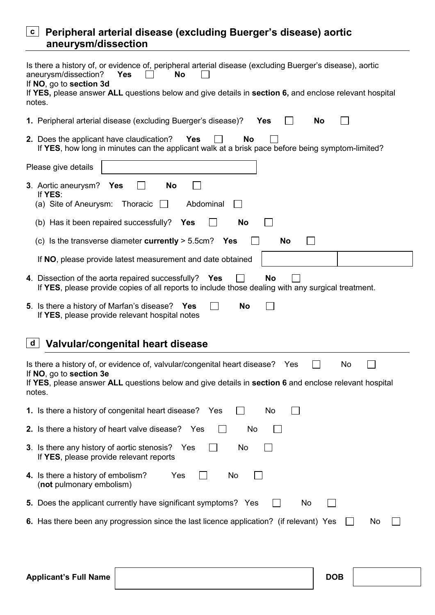### **Peripheral arterial disease (excluding Buerger's disease) aortic c aneurysm/dissection**

|   | Is there a history of, or evidence of, peripheral arterial disease (excluding Buerger's disease), aortic<br>aneurysm/dissection?<br><b>Yes</b><br><b>No</b><br>If NO, go to section 3d<br>If YES, please answer ALL questions below and give details in section 6, and enclose relevant hospital<br>notes. |  |  |  |  |  |  |
|---|------------------------------------------------------------------------------------------------------------------------------------------------------------------------------------------------------------------------------------------------------------------------------------------------------------|--|--|--|--|--|--|
|   | 1. Peripheral arterial disease (excluding Buerger's disease)?<br><b>Yes</b><br>No                                                                                                                                                                                                                          |  |  |  |  |  |  |
|   | 2. Does the applicant have claudication?<br><b>Yes</b><br><b>No</b><br>If YES, how long in minutes can the applicant walk at a brisk pace before being symptom-limited?                                                                                                                                    |  |  |  |  |  |  |
|   | Please give details                                                                                                                                                                                                                                                                                        |  |  |  |  |  |  |
|   | 3. Aortic aneurysm? Yes<br>No<br>If YES:<br>(a) Site of Aneurysm:<br>Thoracic<br>Abdominal                                                                                                                                                                                                                 |  |  |  |  |  |  |
|   | (b) Has it been repaired successfully?<br>No<br><b>Yes</b>                                                                                                                                                                                                                                                 |  |  |  |  |  |  |
|   | (c) Is the transverse diameter currently $> 5.5$ cm? Yes<br>No                                                                                                                                                                                                                                             |  |  |  |  |  |  |
|   | If NO, please provide latest measurement and date obtained                                                                                                                                                                                                                                                 |  |  |  |  |  |  |
|   | 4. Dissection of the aorta repaired successfully? Yes<br><b>No</b><br>If YES, please provide copies of all reports to include those dealing with any surgical treatment.                                                                                                                                   |  |  |  |  |  |  |
|   | 5. Is there a history of Marfan's disease? Yes<br>No<br>If YES, please provide relevant hospital notes                                                                                                                                                                                                     |  |  |  |  |  |  |
| d | Valvular/congenital heart disease                                                                                                                                                                                                                                                                          |  |  |  |  |  |  |
|   | Is there a history of, or evidence of, valvular/congenital heart disease?<br>No<br>Yes<br>If NO, go to section 3e<br>If YES, please answer ALL questions below and give details in section 6 and enclose relevant hospital<br>notes.                                                                       |  |  |  |  |  |  |
|   | 1. Is there a history of congenital heart disease?<br>No<br>Yes                                                                                                                                                                                                                                            |  |  |  |  |  |  |
|   | 2. Is there a history of heart valve disease? Yes<br>No                                                                                                                                                                                                                                                    |  |  |  |  |  |  |
|   | 3. Is there any history of aortic stenosis?<br>Yes<br>No<br>If YES, please provide relevant reports                                                                                                                                                                                                        |  |  |  |  |  |  |
|   | 4. Is there a history of embolism?<br>Yes<br>No<br>(not pulmonary embolism)                                                                                                                                                                                                                                |  |  |  |  |  |  |
|   | 5. Does the applicant currently have significant symptoms? Yes<br>No                                                                                                                                                                                                                                       |  |  |  |  |  |  |
|   | 6. Has there been any progression since the last licence application? (if relevant) Yes<br>No                                                                                                                                                                                                              |  |  |  |  |  |  |
|   |                                                                                                                                                                                                                                                                                                            |  |  |  |  |  |  |
|   | <b>Applicant's Full Name</b><br><b>DOB</b>                                                                                                                                                                                                                                                                 |  |  |  |  |  |  |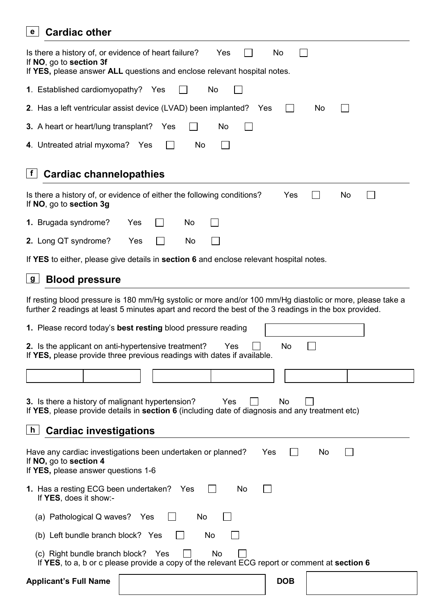### **Cardiac other e**

| Is there a history of, or evidence of heart failure?<br>No<br>Yes<br>If NO, go to section 3f<br>If YES, please answer ALL questions and enclose relevant hospital notes.                                            |  |  |  |  |  |
|---------------------------------------------------------------------------------------------------------------------------------------------------------------------------------------------------------------------|--|--|--|--|--|
| 1. Established cardiomyopathy? Yes<br>No                                                                                                                                                                            |  |  |  |  |  |
| 2. Has a left ventricular assist device (LVAD) been implanted?<br>No<br>Yes                                                                                                                                         |  |  |  |  |  |
| 3. A heart or heart/lung transplant?<br>No<br>Yes                                                                                                                                                                   |  |  |  |  |  |
| 4. Untreated atrial myxoma? Yes<br>No                                                                                                                                                                               |  |  |  |  |  |
| <b>Cardiac channelopathies</b><br>f                                                                                                                                                                                 |  |  |  |  |  |
| Is there a history of, or evidence of either the following conditions?<br>Yes<br>No<br>If NO, go to section 3g                                                                                                      |  |  |  |  |  |
| 1. Brugada syndrome?<br>Yes<br>No                                                                                                                                                                                   |  |  |  |  |  |
| 2. Long QT syndrome?<br>Yes<br>No                                                                                                                                                                                   |  |  |  |  |  |
| If YES to either, please give details in section 6 and enclose relevant hospital notes.                                                                                                                             |  |  |  |  |  |
| <b>Blood pressure</b><br>$\mathbf{g}$                                                                                                                                                                               |  |  |  |  |  |
| If resting blood pressure is 180 mm/Hg systolic or more and/or 100 mm/Hg diastolic or more, please take a<br>further 2 readings at least 5 minutes apart and record the best of the 3 readings in the box provided. |  |  |  |  |  |
| 1. Please record today's best resting blood pressure reading                                                                                                                                                        |  |  |  |  |  |
| 2. Is the applicant on anti-hypertensive treatment?<br>No<br>Yes<br>If YES, please provide three previous readings with dates if available.                                                                         |  |  |  |  |  |
|                                                                                                                                                                                                                     |  |  |  |  |  |
| 3. Is there a history of malignant hypertension?<br><b>Yes</b><br>No.<br>If YES, please provide details in section 6 (including date of diagnosis and any treatment etc)<br><b>Cardiac investigations</b><br>h      |  |  |  |  |  |
| Have any cardiac investigations been undertaken or planned?<br>Yes<br>No.<br>If NO, go to section 4<br>If YES, please answer questions 1-6                                                                          |  |  |  |  |  |
| <b>1.</b> Has a resting ECG been undertaken? Yes<br>No.<br>If YES, does it show:-                                                                                                                                   |  |  |  |  |  |
| (a) Pathological Q waves? Yes<br>No                                                                                                                                                                                 |  |  |  |  |  |
| (b) Left bundle branch block? Yes<br>No                                                                                                                                                                             |  |  |  |  |  |
| (c) Right bundle branch block? Yes<br>No<br>If YES, to a, b or c please provide a copy of the relevant ECG report or comment at section 6                                                                           |  |  |  |  |  |
| <b>Applicant's Full Name</b><br><b>DOB</b>                                                                                                                                                                          |  |  |  |  |  |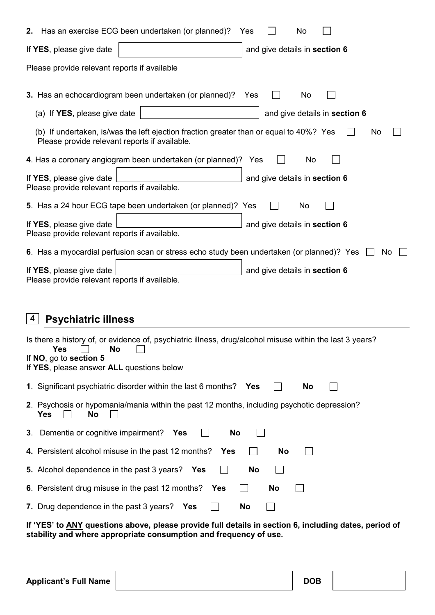| 2.                                                                                                         | Has an exercise ECG been undertaken (or planned)?<br>No<br>Yes                                                                                                                               |  |  |  |  |  |  |
|------------------------------------------------------------------------------------------------------------|----------------------------------------------------------------------------------------------------------------------------------------------------------------------------------------------|--|--|--|--|--|--|
|                                                                                                            | If YES, please give date<br>and give details in section 6                                                                                                                                    |  |  |  |  |  |  |
| Please provide relevant reports if available                                                               |                                                                                                                                                                                              |  |  |  |  |  |  |
|                                                                                                            | 3. Has an echocardiogram been undertaken (or planned)?<br>No<br>Yes                                                                                                                          |  |  |  |  |  |  |
|                                                                                                            | (a) If YES, please give date<br>and give details in section 6                                                                                                                                |  |  |  |  |  |  |
|                                                                                                            | (b) If undertaken, is/was the left ejection fraction greater than or equal to 40%? Yes<br>No<br>Please provide relevant reports if available.                                                |  |  |  |  |  |  |
|                                                                                                            | 4. Has a coronary angiogram been undertaken (or planned)? Yes<br>No                                                                                                                          |  |  |  |  |  |  |
| If YES, please give date<br>and give details in section 6<br>Please provide relevant reports if available. |                                                                                                                                                                                              |  |  |  |  |  |  |
|                                                                                                            | 5. Has a 24 hour ECG tape been undertaken (or planned)? Yes<br>No                                                                                                                            |  |  |  |  |  |  |
|                                                                                                            | If YES, please give date<br>and give details in section 6<br>Please provide relevant reports if available.                                                                                   |  |  |  |  |  |  |
|                                                                                                            | 6. Has a myocardial perfusion scan or stress echo study been undertaken (or planned)? Yes<br>No.                                                                                             |  |  |  |  |  |  |
|                                                                                                            | If YES, please give date<br>and give details in section 6<br>Please provide relevant reports if available.                                                                                   |  |  |  |  |  |  |
|                                                                                                            |                                                                                                                                                                                              |  |  |  |  |  |  |
| 4                                                                                                          | <b>Psychiatric illness</b>                                                                                                                                                                   |  |  |  |  |  |  |
|                                                                                                            | Is there a history of, or evidence of, psychiatric illness, drug/alcohol misuse within the last 3 years?<br>No<br>Yes<br>If NO, go to section 5<br>If YES, please answer ALL questions below |  |  |  |  |  |  |
|                                                                                                            | 1. Significant psychiatric disorder within the last 6 months?<br>No<br>Yes                                                                                                                   |  |  |  |  |  |  |
|                                                                                                            | 2. Psychosis or hypomania/mania within the past 12 months, including psychotic depression?<br>Yes<br>No                                                                                      |  |  |  |  |  |  |
| 3.                                                                                                         | Dementia or cognitive impairment?<br><b>No</b><br><b>Yes</b>                                                                                                                                 |  |  |  |  |  |  |
|                                                                                                            | 4. Persistent alcohol misuse in the past 12 months?<br>No<br>Yes                                                                                                                             |  |  |  |  |  |  |
|                                                                                                            | <b>5.</b> Alcohol dependence in the past 3 years? Yes<br>No                                                                                                                                  |  |  |  |  |  |  |
|                                                                                                            | 6. Persistent drug misuse in the past 12 months?<br>No<br>Yes                                                                                                                                |  |  |  |  |  |  |
|                                                                                                            | 7. Drug dependence in the past 3 years?<br>No<br><b>Yes</b>                                                                                                                                  |  |  |  |  |  |  |

**If 'YES' to ANY questions above, please provide full details in section 6, including dates, period of stability and where appropriate consumption and frequency of use.**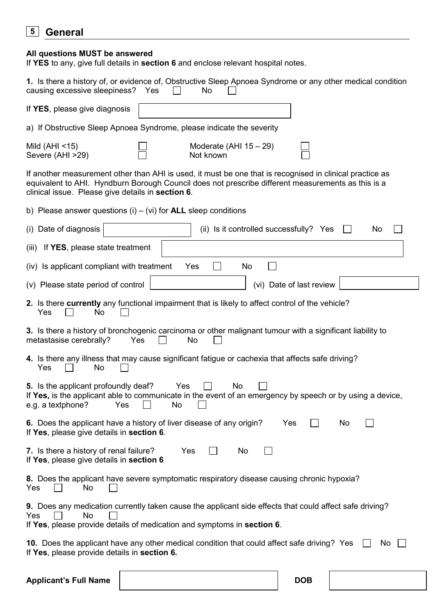#### **General 5**

#### **All questions MUST be answered**

If **YES** to any, give full details in **section 6** and enclose relevant hospital notes.

| 1. Is there a history of, or evidence of, Obstructive Sleep Apnoea Syndrome or any other medical condition<br>causing excessive sleepiness? Yes<br>No                                                                                                               |  |  |  |  |  |  |
|---------------------------------------------------------------------------------------------------------------------------------------------------------------------------------------------------------------------------------------------------------------------|--|--|--|--|--|--|
| If YES, please give diagnosis                                                                                                                                                                                                                                       |  |  |  |  |  |  |
| a) If Obstructive Sleep Apnoea Syndrome, please indicate the severity                                                                                                                                                                                               |  |  |  |  |  |  |
| Mild $(AHI < 15)$<br>Moderate (AHI $15 - 29$ )<br>Severe (AHI >29)<br>Not known                                                                                                                                                                                     |  |  |  |  |  |  |
| If another measurement other than AHI is used, it must be one that is recognised in clinical practice as<br>equivalent to AHI. Hyndburn Borough Council does not prescribe different measurements as this is a<br>clinical issue. Please give details in section 6. |  |  |  |  |  |  |
| b) Please answer questions $(i) - (vi)$ for <b>ALL</b> sleep conditions                                                                                                                                                                                             |  |  |  |  |  |  |
| (i) Date of diagnosis<br>(ii) Is it controlled successfully? Yes<br>No                                                                                                                                                                                              |  |  |  |  |  |  |
| (iii) If <b>YES</b> , please state treatment                                                                                                                                                                                                                        |  |  |  |  |  |  |
| (iv) Is applicant compliant with treatment<br>No<br>Yes                                                                                                                                                                                                             |  |  |  |  |  |  |
| (vi) Date of last review<br>(v) Please state period of control                                                                                                                                                                                                      |  |  |  |  |  |  |
| 2. Is there currently any functional impairment that is likely to affect control of the vehicle?<br>Yes<br>No                                                                                                                                                       |  |  |  |  |  |  |
| 3. Is there a history of bronchogenic carcinoma or other malignant tumour with a significant liability to<br>metastasise cerebrally?<br>Yes<br>No                                                                                                                   |  |  |  |  |  |  |
| 4. Is there any illness that may cause significant fatigue or cachexia that affects safe driving?<br>Yes<br>No                                                                                                                                                      |  |  |  |  |  |  |
| 5. Is the applicant profoundly deaf?<br>No<br>Yes<br>If Yes, is the applicant able to communicate in the event of an emergency by speech or by using a device,<br>e.g. a textphone? Yes $\Box$<br><b>No</b><br>$\Box$                                               |  |  |  |  |  |  |
| 6. Does the applicant have a history of liver disease of any origin?<br>Yes<br>No<br>If Yes, please give details in section 6.                                                                                                                                      |  |  |  |  |  |  |
| 7. Is there a history of renal failure?<br>Yes<br>No<br>If Yes, please give details in section 6                                                                                                                                                                    |  |  |  |  |  |  |
| 8. Does the applicant have severe symptomatic respiratory disease causing chronic hypoxia?<br>Yes<br>No                                                                                                                                                             |  |  |  |  |  |  |
| 9. Does any medication currently taken cause the applicant side effects that could affect safe driving?<br>Yes<br>No<br>If Yes, please provide details of medication and symptoms in section 6.                                                                     |  |  |  |  |  |  |
| 10. Does the applicant have any other medical condition that could affect safe driving? Yes<br>No<br>If Yes, please provide details in section 6.                                                                                                                   |  |  |  |  |  |  |
| <b>Applicant's Full Name</b><br><b>DOB</b>                                                                                                                                                                                                                          |  |  |  |  |  |  |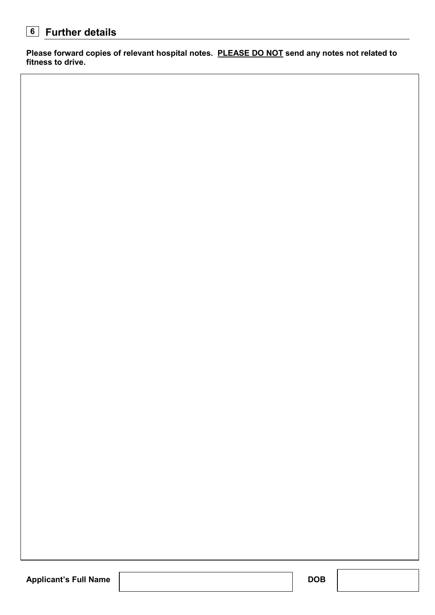### **Further details 6**

**Please forward copies of relevant hospital notes. PLEASE DO NOT send any notes not related to fitness to drive.**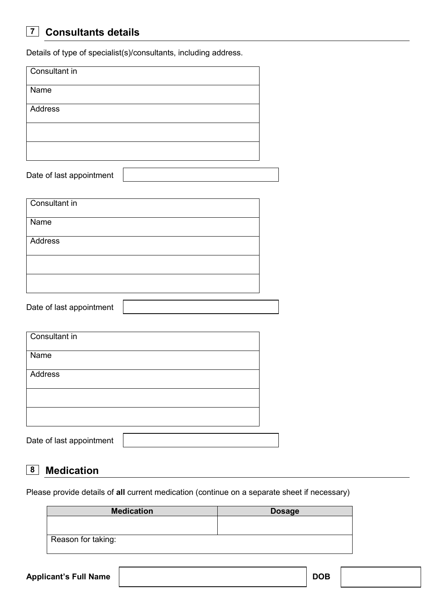#### **Consultants details 7**

Details of type of specialist(s)/consultants, including address.

| Consultant in            |  |
|--------------------------|--|
| Name                     |  |
| Address                  |  |
|                          |  |
|                          |  |
| Date of last appointment |  |
| Consultant in            |  |
| Name                     |  |
| Address                  |  |
|                          |  |
|                          |  |
| Date of last appointment |  |
|                          |  |
| Consultant in            |  |
| Name                     |  |
| Address                  |  |
|                          |  |
|                          |  |
| Date of last appointment |  |

#### **Medication 8**

Please provide details of **all** current medication (continue on a separate sheet if necessary)

| <b>Medication</b>  | <b>Dosage</b> |  |  |  |  |
|--------------------|---------------|--|--|--|--|
|                    |               |  |  |  |  |
|                    |               |  |  |  |  |
| Reason for taking: |               |  |  |  |  |
|                    |               |  |  |  |  |

Applicant's Full Name **DOB DOB**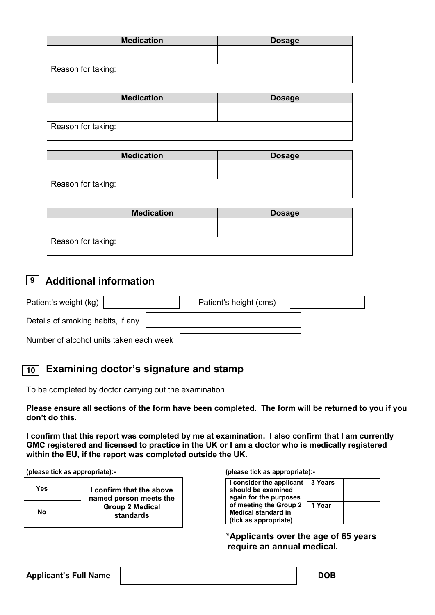| <b>Dosage</b> |
|---------------|
|               |
|               |
|               |
|               |

| <b>Medication</b>  | <b>Dosage</b> |
|--------------------|---------------|
|                    |               |
| Reason for taking: |               |

| <b>Medication</b>  | <b>Dosage</b> |
|--------------------|---------------|
|                    |               |
|                    |               |
| Reason for taking: |               |

| <b>Medication</b>  | <b>Dosage</b> |
|--------------------|---------------|
|                    |               |
|                    |               |
| Reason for taking: |               |
|                    |               |

### **Additional information 9**

| Patient's weight (kg)                   | Patient's height (cms) |  |
|-----------------------------------------|------------------------|--|
| Details of smoking habits, if any       |                        |  |
| Number of alcohol units taken each week |                        |  |

### **Examining doctor's signature and stamp 10**

To be completed by doctor carrying out the examination.

**Please ensure all sections of the form have been completed. The form will be returned to you if you don't do this.** 

**I confirm that this report was completed by me at examination. I also confirm that I am currently GMC registered and licensed to practice in the UK or I am a doctor who is medically registered within the EU, if the report was completed outside the UK.** 

**(please tick as appropriate):- (please tick as appropriate):-** 

| Yes |                                     | I confirm that the above<br>named person meets the |
|-----|-------------------------------------|----------------------------------------------------|
| Nο  | <b>Group 2 Medical</b><br>standards |                                                    |

| I consider the applicant   3 Years<br>should be examined<br>again for the purposes |          |  |
|------------------------------------------------------------------------------------|----------|--|
| of meeting the Group 2                                                             | l 1 Year |  |
| <b>Medical standard in</b>                                                         |          |  |
| (tick as appropriate)                                                              |          |  |

 **\*Applicants over the age of 65 years require an annual medical.** 

Applicant's Full Name and DOB **DOB**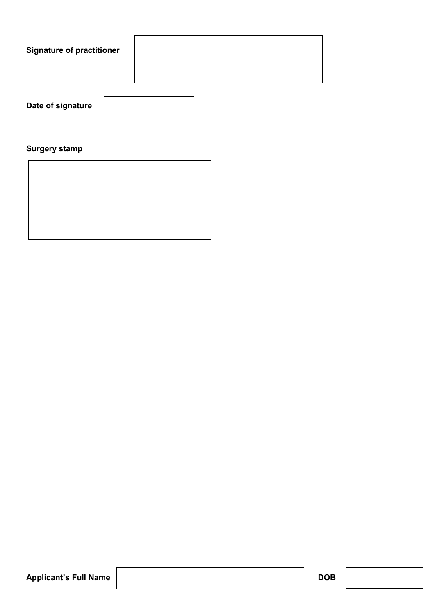| <b>Signature of practitioner</b> |  |
|----------------------------------|--|
|                                  |  |

**Date of signature** 

### **Surgery stamp**